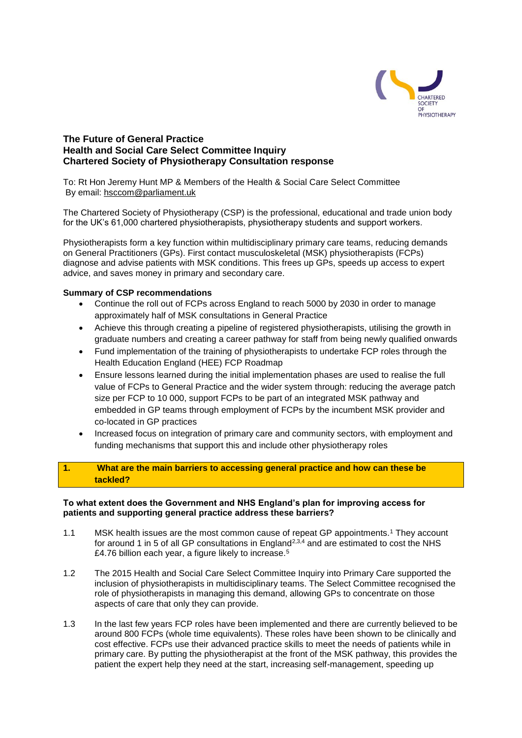

# **The Future of General Practice Health and Social Care Select Committee Inquiry Chartered Society of Physiotherapy Consultation response**

To: Rt Hon Jeremy Hunt MP & Members of the Health & Social Care Select Committee By email: [hsccom@parliament.uk](mailto:hsccom@parliament.uk)

The Chartered Society of Physiotherapy (CSP) is the professional, educational and trade union body for the UK's 61,000 chartered physiotherapists, physiotherapy students and support workers.

Physiotherapists form a key function within multidisciplinary primary care teams, reducing demands on General Practitioners (GPs). First contact musculoskeletal (MSK) physiotherapists (FCPs) diagnose and advise patients with MSK conditions. This frees up GPs, speeds up access to expert advice, and saves money in primary and secondary care.

## **Summary of CSP recommendations**

- Continue the roll out of FCPs across England to reach 5000 by 2030 in order to manage approximately half of MSK consultations in General Practice
- Achieve this through creating a pipeline of registered physiotherapists, utilising the growth in graduate numbers and creating a career pathway for staff from being newly qualified onwards
- Fund implementation of the training of physiotherapists to undertake FCP roles through the Health Education England (HEE) FCP Roadmap
- Ensure lessons learned during the initial implementation phases are used to realise the full value of FCPs to General Practice and the wider system through: reducing the average patch size per FCP to 10 000, support FCPs to be part of an integrated MSK pathway and embedded in GP teams through employment of FCPs by the incumbent MSK provider and co-located in GP practices
- Increased focus on integration of primary care and community sectors, with employment and funding mechanisms that support this and include other physiotherapy roles

## **1. What are the main barriers to accessing general practice and how can these be tackled?**

#### **To what extent does the Government and NHS England's plan for improving access for patients and supporting general practice address these barriers?**

- 1.1 MSK health issues are the most common cause of repeat GP appointments.<sup>1</sup> They account for around 1 in 5 of all GP consultations in England<sup>2,3,4</sup> and are estimated to cost the NHS £4.76 billion each year, a figure likely to increase.<sup>5</sup>
- 1.2 The 2015 Health and Social Care Select Committee Inquiry into Primary Care supported the inclusion of physiotherapists in multidisciplinary teams. The Select Committee recognised the role of physiotherapists in managing this demand, allowing GPs to concentrate on those aspects of care that only they can provide.
- 1.3 In the last few years FCP roles have been implemented and there are currently believed to be around 800 FCPs (whole time equivalents). These roles have been shown to be clinically and cost effective. FCPs use their advanced practice skills to meet the needs of patients while in primary care. By putting the physiotherapist at the front of the MSK pathway, this provides the patient the expert help they need at the start, increasing self-management, speeding up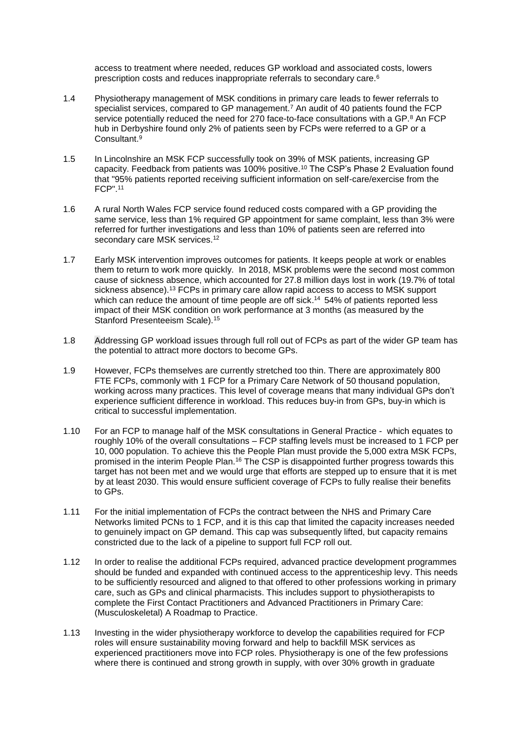access to treatment where needed, reduces GP workload and associated costs, lowers prescription costs and reduces inappropriate referrals to secondary care.<sup>6</sup>

- 1.4 Physiotherapy management of MSK conditions in primary care leads to fewer referrals to specialist services, compared to GP management.<sup>7</sup> An audit of 40 patients found the FCP service potentially reduced the need for 270 face-to-face consultations with a GP.<sup>8</sup> An FCP hub in Derbyshire found only 2% of patients seen by FCPs were referred to a GP or a Consultant.<sup>9</sup>
- 1.5 In Lincolnshire an MSK FCP successfully took on 39% of MSK patients, increasing GP capacity. Feedback from patients was 100% positive.<sup>10</sup> The CSP's Phase 2 Evaluation found that "95% patients reported receiving sufficient information on self-care/exercise from the FCP". 11
- 1.6 A rural North Wales FCP service found reduced costs compared with a GP providing the same service, less than 1% required GP appointment for same complaint, less than 3% were referred for further investigations and less than 10% of patients seen are referred into secondary care MSK services.<sup>12</sup>
- 1.7 Early MSK intervention improves outcomes for patients. It keeps people at work or enables them to return to work more quickly. In 2018, MSK problems were the second most common cause of sickness absence, which accounted for 27.8 million days lost in work (19.7% of total sickness absence).<sup>13</sup> FCPs in primary care allow rapid access to access to MSK support which can reduce the amount of time people are off sick.<sup>14</sup> 54% of patients reported less impact of their MSK condition on work performance at 3 months (as measured by the Stanford Presenteeism Scale).<sup>15</sup>
- 1.8 Addressing GP workload issues through full roll out of FCPs as part of the wider GP team has the potential to attract more doctors to become GPs.
- 1.9 However, FCPs themselves are currently stretched too thin. There are approximately 800 FTE FCPs, commonly with 1 FCP for a Primary Care Network of 50 thousand population, working across many practices. This level of coverage means that many individual GPs don't experience sufficient difference in workload. This reduces buy-in from GPs, buy-in which is critical to successful implementation.
- 1.10 For an FCP to manage half of the MSK consultations in General Practice which equates to roughly 10% of the overall consultations – FCP staffing levels must be increased to 1 FCP per 10, 000 population. To achieve this the People Plan must provide the 5,000 extra MSK FCPs, promised in the interim People Plan.<sup>16</sup> The CSP is disappointed further progress towards this target has not been met and we would urge that efforts are stepped up to ensure that it is met by at least 2030. This would ensure sufficient coverage of FCPs to fully realise their benefits to GPs.
- 1.11 For the initial implementation of FCPs the contract between the NHS and Primary Care Networks limited PCNs to 1 FCP, and it is this cap that limited the capacity increases needed to genuinely impact on GP demand. This cap was subsequently lifted, but capacity remains constricted due to the lack of a pipeline to support full FCP roll out.
- 1.12 In order to realise the additional FCPs required, advanced practice development programmes should be funded and expanded with continued access to the apprenticeship levy. This needs to be sufficiently resourced and aligned to that offered to other professions working in primary care, such as GPs and clinical pharmacists. This includes support to physiotherapists to complete the First Contact Practitioners and Advanced Practitioners in Primary Care: (Musculoskeletal) A Roadmap to Practice.
- 1.13 Investing in the wider physiotherapy workforce to develop the capabilities required for FCP roles will ensure sustainability moving forward and help to backfill MSK services as experienced practitioners move into FCP roles. Physiotherapy is one of the few professions where there is continued and strong growth in supply, with over 30% growth in graduate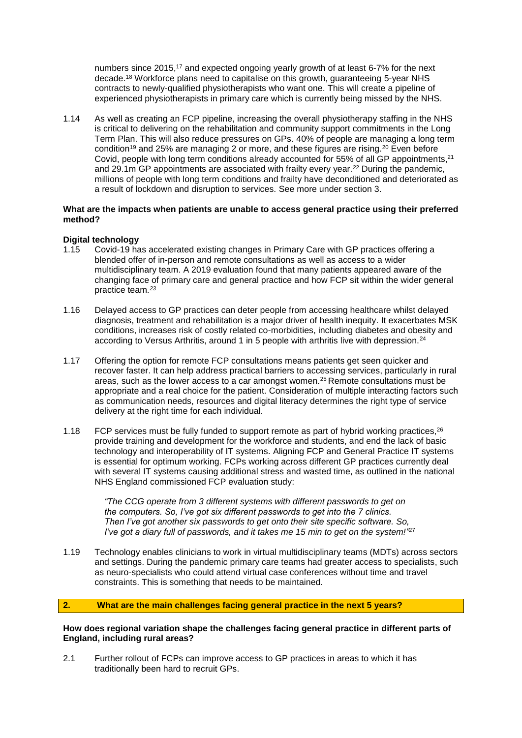numbers since 2015, <sup>17</sup> and expected ongoing yearly growth of at least 6-7% for the next decade. <sup>18</sup> Workforce plans need to capitalise on this growth, guaranteeing 5-year NHS contracts to newly-qualified physiotherapists who want one. This will create a pipeline of experienced physiotherapists in primary care which is currently being missed by the NHS.

1.14 As well as creating an FCP pipeline, increasing the overall physiotherapy staffing in the NHS is critical to delivering on the rehabilitation and community support commitments in the Long Term Plan. This will also reduce pressures on GPs. 40% of people are managing a long term condition<sup>19</sup> and 25% are managing 2 or more, and these figures are rising.<sup>20</sup> Even before Covid, people with long term conditions already accounted for 55% of all GP appointments,<sup>21</sup> and 29.1m GP appointments are associated with frailty every year.<sup>22</sup> During the pandemic, millions of people with long term conditions and frailty have deconditioned and deteriorated as a result of lockdown and disruption to services. See more under section 3.

## **What are the impacts when patients are unable to access general practice using their preferred method?**

## **Digital technology**

- 1.15 Covid-19 has accelerated existing changes in Primary Care with GP practices offering a blended offer of in-person and remote consultations as well as access to a wider multidisciplinary team. A 2019 evaluation found that many patients appeared aware of the changing face of primary care and general practice and how FCP sit within the wider general practice team*. 23*
- 1.16 Delayed access to GP practices can deter people from accessing healthcare whilst delayed diagnosis, treatment and rehabilitation is a major driver of health inequity. It exacerbates MSK conditions, increases risk of costly related co-morbidities, including diabetes and obesity and according to Versus Arthritis, around 1 in 5 people with arthritis live with depression.<sup>24</sup>
- 1.17 Offering the option for remote FCP consultations means patients get seen quicker and recover faster. It can help address practical barriers to accessing services, particularly in rural areas, such as the lower access to a car amongst women.<sup>25</sup> Remote consultations must be appropriate and a real choice for the patient. Consideration of multiple interacting factors such as communication needs, resources and digital literacy determines the right type of service delivery at the right time for each individual.
- 1.18 FCP services must be fully funded to support remote as part of hybrid working practices.<sup>26</sup> provide training and development for the workforce and students, and end the lack of basic technology and interoperability of IT systems. Aligning FCP and General Practice IT systems is essential for optimum working. FCPs working across different GP practices currently deal with several IT systems causing additional stress and wasted time, as outlined in the national NHS England commissioned FCP evaluation study:

 *"The CCG operate from 3 different systems with different passwords to get on the computers. So, I've got six different passwords to get into the 7 clinics. Then I've got another six passwords to get onto their site specific software. So, I've got a diary full of passwords, and it takes me 15 min to get on the system!"* [27](https://ukc-word-edit.officeapps.live.com/we/wordeditorframe.aspx?new=1&ui=en%2DGB&rs=en%2DGB&wdenableroaming=1&mscc=1&wdodb=1&hid=81570CA0-F070-3000-83E2-A651B0EF379B&wopisrc=https%3A%2F%2Fcspoffice365-my.sharepoint.com%2Fpersonal%2Fririeb_csp_org_uk%2F_vti_bin%2Fwopi.ashx%2Ffiles%2Fa97541c190f9493ea7e3cbea635d9f7d&wdorigin=DocLib&wdhostclicktime=1639390591487&jsapi=1&jsapiver=v1&newsession=1&corrid=0d9dd969-9a2a-447f-9b0c-88be1d12cf3e&usid=0d9dd969-9a2a-447f-9b0c-88be1d12cf3e&sftc=1&mtf=1&sfp=1&wdredirectionreason=Unified_SingleFlush&rct=Medium&ctp=LeastProtected#_edn24)

1.19 Technology enables clinicians to work in virtual multidisciplinary teams (MDTs) across sectors and settings. During the pandemic primary care teams had greater access to specialists, such as neuro-specialists who could attend virtual case conferences without time and travel constraints. This is something that needs to be maintained.

## **2. What are the main challenges facing general practice in the next 5 years?**

#### **How does regional variation shape the challenges facing general practice in different parts of England, including rural areas?**

2.1 Further rollout of FCPs can improve access to GP practices in areas to which it has traditionally been hard to recruit GPs.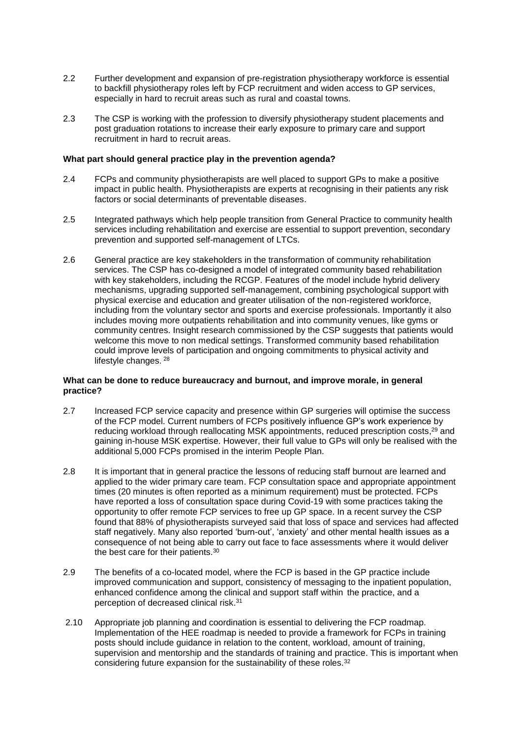- 2.2 Further development and expansion of pre-registration physiotherapy workforce is essential to backfill physiotherapy roles left by FCP recruitment and widen access to GP services, especially in hard to recruit areas such as rural and coastal towns.
- 2.3 The CSP is working with the profession to diversify physiotherapy student placements and post graduation rotations to increase their early exposure to primary care and support recruitment in hard to recruit areas.

## **What part should general practice play in the prevention agenda?**

- 2.4 FCPs and community physiotherapists are well placed to support GPs to make a positive impact in public health. Physiotherapists are experts at recognising in their patients any risk factors or social determinants of preventable diseases.
- 2.5 Integrated pathways which help people transition from General Practice to community health services including rehabilitation and exercise are essential to support prevention, secondary prevention and supported self-management of LTCs.
- 2.6 General practice are key stakeholders in the transformation of community rehabilitation services. The CSP has co-designed a model of integrated community based rehabilitation with key stakeholders, including the RCGP. Features of the model include hybrid delivery mechanisms, upgrading supported self-management, combining psychological support with physical exercise and education and greater utilisation of the non-registered workforce, including from the voluntary sector and sports and exercise professionals. Importantly it also includes moving more outpatients rehabilitation and into community venues, like gyms or community centres. Insight research commissioned by the CSP suggests that patients would welcome this move to non medical settings. Transformed community based rehabilitation could improve levels of participation and ongoing commitments to physical activity and lifestyle changes. 28

## **What can be done to reduce bureaucracy and burnout, and improve morale, in general practice?**

- 2.7 Increased FCP service capacity and presence within GP surgeries will optimise the success of the FCP model. Current numbers of FCPs positively influence GP's work experience by reducing workload through reallocating MSK appointments, reduced prescription costs,<sup>29</sup> and gaining in-house MSK expertise. However, their full value to GPs will only be realised with the additional 5,000 FCPs promised in the interim People Plan.
- 2.8 It is important that in general practice the lessons of reducing staff burnout are learned and applied to the wider primary care team. FCP consultation space and appropriate appointment times (20 minutes is often reported as a minimum requirement) must be protected. FCPs have reported a loss of consultation space during Covid-19 with some practices taking the opportunity to offer remote FCP services to free up GP space. In a recent survey the CSP found that 88% of physiotherapists surveyed said that loss of space and services had affected staff negatively. Many also reported 'burn-out', 'anxiety' and other mental health issues as a consequence of not being able to carry out face to face assessments where it would deliver the best care for their patients.<sup>30</sup>
- 2.9 The benefits of a co-located model, where the FCP is based in the GP practice include improved communication and support, consistency of messaging to the inpatient population, enhanced confidence among the clinical and support staff within the practice, and a perception of decreased clinical risk.<sup>31</sup>
- 2.10 Appropriate job planning and coordination is essential to delivering the FCP roadmap. Implementation of the HEE roadmap is needed to provide a framework for FCPs in training posts should include guidance in relation to the content, workload, amount of training, supervision and mentorship and the standards of training and practice. This is important when considering future expansion for the sustainability of these roles.<sup>32</sup>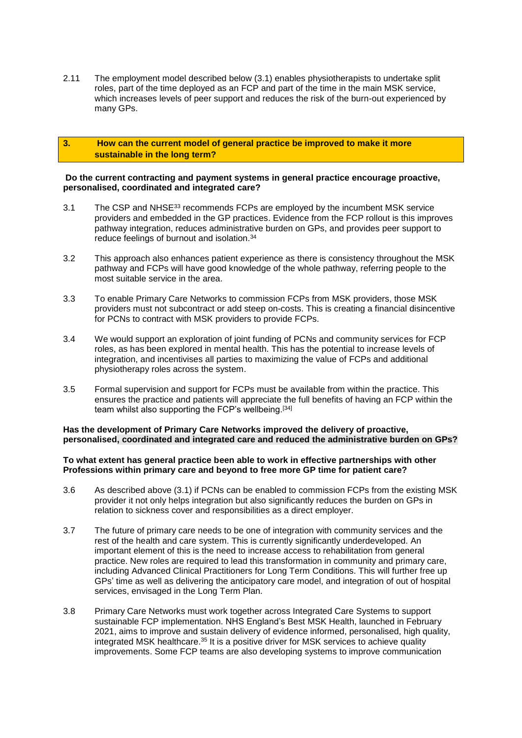2.11 The employment model described below (3.1) enables physiotherapists to undertake split roles, part of the time deployed as an FCP and part of the time in the main MSK service, which increases levels of peer support and reduces the risk of the burn-out experienced by many GPs.

## **3. How can the current model of general practice be improved to make it more sustainable in the long term?**

#### **Do the current contracting and payment systems in general practice encourage proactive, personalised, coordinated and integrated care?**

- 3.1 The CSP and NHSE<sup>33</sup> recommends FCPs are employed by the incumbent MSK service providers and embedded in the GP practices. Evidence from the FCP rollout is this improves pathway integration, reduces administrative burden on GPs, and provides peer support to reduce feelings of burnout and isolation. 34
- 3.2 This approach also enhances patient experience as there is consistency throughout the MSK pathway and FCPs will have good knowledge of the whole pathway, referring people to the most suitable service in the area.
- 3.3 To enable Primary Care Networks to commission FCPs from MSK providers, those MSK providers must not subcontract or add steep on-costs. This is creating a financial disincentive for PCNs to contract with MSK providers to provide FCPs.
- 3.4 We would support an exploration of joint funding of PCNs and community services for FCP roles, as has been explored in mental health. This has the potential to increase levels of integration, and incentivises all parties to maximizing the value of FCPs and additional physiotherapy roles across the system.
- 3.5 Formal supervision and support for FCPs must be available from within the practice. This ensures the practice and patients will appreciate the full benefits of having an FCP within the team whilst also supporting the FCP's wellbeing.[\[34\]](https://ukc-word-edit.officeapps.live.com/we/wordeditorframe.aspx?new=1&ui=en%2DGB&rs=en%2DGB&wdenableroaming=1&mscc=1&wdodb=1&hid=81570CA0-F070-3000-83E2-A651B0EF379B&wopisrc=https%3A%2F%2Fcspoffice365-my.sharepoint.com%2Fpersonal%2Fririeb_csp_org_uk%2F_vti_bin%2Fwopi.ashx%2Ffiles%2Fa97541c190f9493ea7e3cbea635d9f7d&wdorigin=DocLib&wdhostclicktime=1639390591487&jsapi=1&jsapiver=v1&newsession=1&corrid=0d9dd969-9a2a-447f-9b0c-88be1d12cf3e&usid=0d9dd969-9a2a-447f-9b0c-88be1d12cf3e&sftc=1&mtf=1&sfp=1&wdredirectionreason=Unified_SingleFlush&rct=Medium&ctp=LeastProtected#_edn39)

## **Has the development of Primary Care Networks improved the delivery of proactive, personalised, coordinated and integrated care and reduced the administrative burden on GPs?**

#### **To what extent has general practice been able to work in effective partnerships with other Professions within primary care and beyond to free more GP time for patient care?**

- 3.6 As described above (3.1) if PCNs can be enabled to commission FCPs from the existing MSK provider it not only helps integration but also significantly reduces the burden on GPs in relation to sickness cover and responsibilities as a direct employer.
- 3.7 The future of primary care needs to be one of integration with community services and the rest of the health and care system. This is currently significantly underdeveloped. An important element of this is the need to increase access to rehabilitation from general practice. New roles are required to lead this transformation in community and primary care, including Advanced Clinical Practitioners for Long Term Conditions. This will further free up GPs' time as well as delivering the anticipatory care model, and integration of out of hospital services, envisaged in the Long Term Plan.
- 3.8 Primary Care Networks must work together across Integrated Care Systems to support sustainable FCP implementation. NHS England's Best MSK Health, launched in February 2021, aims to improve and sustain delivery of evidence informed, personalised, high quality, integrated MSK healthcare. <sup>35</sup> It is a positive driver for MSK services to achieve quality improvements. Some FCP teams are also developing systems to improve communication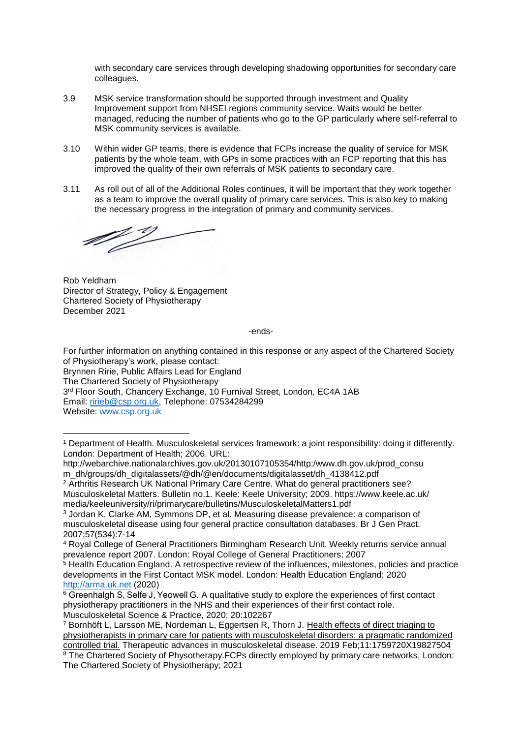with secondary care services through developing shadowing opportunities for secondary care colleagues.

- 3.9 MSK service transformation should be supported through investment and Quality Improvement support from NHSEI regions community service. Waits would be better managed, reducing the number of patients who go to the GP particularly where self-referral to MSK community services is available.
- 3.10 Within wider GP teams, there is evidence that FCPs increase the quality of service for MSK patients by the whole team, with GPs in some practices with an FCP reporting that this has improved the quality of their own referrals of MSK patients to secondary care.
- 3.11 As roll out of all of the Additional Roles continues, it will be important that they work together as a team to improve the overall quality of primary care services. This is also key to making the necessary progress in the integration of primary and community services.

<u>10% de ja</u>

Rob Yeldham Director of Strategy, Policy & Engagement Chartered Society of Physiotherapy December 2021

-ends-

For further information on anything contained in this response or any aspect of the Chartered Society of Physiotherapy's work, please contact: Brynnen Ririe, Public Affairs Lead for England The Chartered Society of Physiotherapy 3<sup>rd</sup> Floor South, Chancery Exchange, 10 Furnival Street, London, EC4A 1AB Email: [ririeb@csp.org.uk,](mailto:ririeb@csp.org.uk) Telephone: 07534284299

Website: [www.csp.org.uk](http://www.csp.org.uk/)

**.** 

<sup>2</sup> Arthritis Research UK National Primary Care Centre. What do general practitioners see? Musculoskeletal Matters. Bulletin no.1. Keele: Keele University; 2009. https://www.keele.ac.uk/ media/keeleuniversity/ri/primarycare/bulletins/MusculoskeletalMatters1.pdf

<sup>1</sup> Department of Health. Musculoskeletal services framework: a joint responsibility: doing it differently. London: Department of Health; 2006. URL:

http://webarchive.nationalarchives.gov.uk/20130107105354/http:/www.dh.gov.uk/prod\_consu m\_dh/groups/dh\_digitalassets/@dh/@en/documents/digitalasset/dh\_4138412.pdf

<sup>3</sup> Jordan K, Clarke AM, Symmons DP, et al. Measuring disease prevalence: a comparison of musculoskeletal disease using four general practice consultation databases. Br J Gen Pract. 2007;57(534):7-14

<sup>4</sup> Royal College of General Practitioners Birmingham Research Unit. Weekly returns service annual prevalence report 2007. London: Royal College of General Practitioners; 2007

<sup>&</sup>lt;sup>5</sup> Health Education England. A retrospective review of the influences, milestones, policies and practice developments in the First Contact MSK model. London: Health Education England; 2020 [http://arma.uk.net](http://arma.uk.net/) (2020)  

<sup>6</sup> Greenhalgh S, Selfe J, Yeowell G. A qualitative study to explore the experiences of first contact physiotherapy practitioners in the NHS and their experiences of their first contact role. Musculoskeletal Science & Practice, 2020; 20:102267

<sup>7</sup> Bornhöft L, Larsson ME, Nordeman L, Eggertsen R, Thorn J. [Health effects of direct triaging to](https://pubmed.ncbi.nlm.nih.gov/30800175/)  [physiotherapists in primary care for patients with musculoskeletal disorders: a pragmatic randomized](https://pubmed.ncbi.nlm.nih.gov/30800175/)  [controlled trial.](https://pubmed.ncbi.nlm.nih.gov/30800175/) Therapeutic advances in musculoskeletal disease. 2019 Feb;11:1759720X19827504

<sup>&</sup>lt;sup>8</sup> The Chartered Society of Physotherapy.FCPs directly employed by primary care networks, London: The Chartered Society of Physiotherapy; 2021